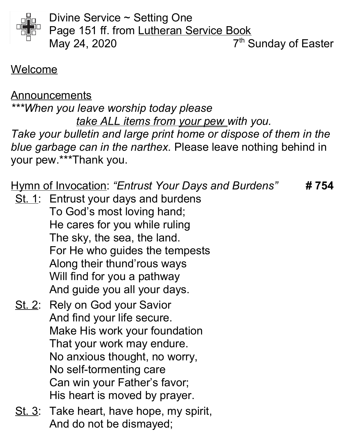

Divine Service ~ Setting One Page 151 ff. from Lutheran Service Book May 24, 2020  $7<sup>th</sup>$  Sunday of Easter

### Welcome

Announcements \*\*\*When you leave worship today please take ALL items from your pew with you. Take your bulletin and large print home or dispose of them in the blue garbage can in the narthex. Please leave nothing behind in your pew.\*\*\*Thank you.

Hymn of Invocation: "Entrust Your Days and Burdens" #754

- St. 1: Entrust your days and burdens To God's most loving hand; He cares for you while ruling The sky, the sea, the land. For He who guides the tempests Along their thund'rous ways Will find for you a pathway And guide you all your days.
- St. 2: Rely on God your Savior And find your life secure. Make His work your foundation That your work may endure. No anxious thought, no worry, No self-tormenting care Can win your Father's favor; His heart is moved by prayer.
- St. 3: Take heart, have hope, my spirit, And do not be dismayed;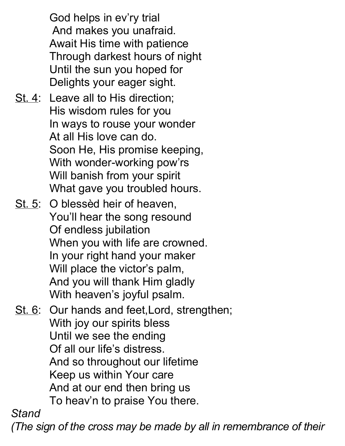God helps in ev'ry trial And makes you unafraid. Await His time with patience Through darkest hours of night Until the sun you hoped for Delights your eager sight.

- St. 4: Leave all to His direction; His wisdom rules for you In ways to rouse your wonder At all His love can do. Soon He, His promise keeping, With wonder-working pow'rs Will banish from your spirit What gave you troubled hours.
- St. 5: O blessèd heir of heaven, You'll hear the song resound Of endless jubilation When you with life are crowned. In your right hand your maker Will place the victor's palm, And you will thank Him gladly With heaven's joyful psalm.
- St. 6: Our hands and feet, Lord, strengthen; With joy our spirits bless Until we see the ending Of all our life's distress. And so throughout our lifetime Keep us within Your care And at our end then bring us To heav'n to praise You there.

**Stand** 

(The sign of the cross may be made by all in remembrance of their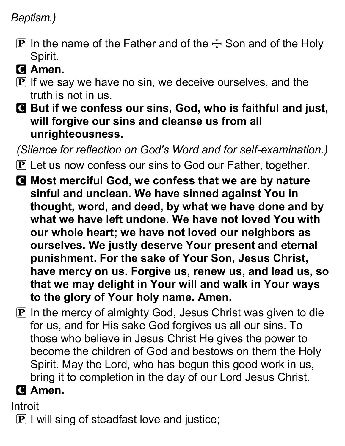#### Baptism.)

- $\bf P$  In the name of the Father and of the  $\bf F$  Son and of the Holy Spirit.
- **C** Amen.
- $\mathbf P$  If we say we have no sin, we deceive ourselves, and the truth is not in us.
- C But if we confess our sins, God, who is faithful and just, will forgive our sins and cleanse us from all unrighteousness.

(Silence for reflection on God's Word and for self-examination.)

- **P** Let us now confess our sins to God our Father, together.
- C Most merciful God, we confess that we are by nature sinful and unclean. We have sinned against You in thought, word, and deed, by what we have done and by what we have left undone. We have not loved You with our whole heart; we have not loved our neighbors as ourselves. We justly deserve Your present and eternal punishment. For the sake of Your Son, Jesus Christ, have mercy on us. Forgive us, renew us, and lead us, so that we may delight in Your will and walk in Your ways to the glory of Your holy name. Amen.
- $\bf{P}$  In the mercy of almighty God, Jesus Christ was given to die for us, and for His sake God forgives us all our sins. To those who believe in Jesus Christ He gives the power to become the children of God and bestows on them the Holy Spirit. May the Lord, who has begun this good work in us, bring it to completion in the day of our Lord Jesus Christ.

# **Q** Amen.

Introit

 $\bf{P}$  I will sing of steadfast love and justice;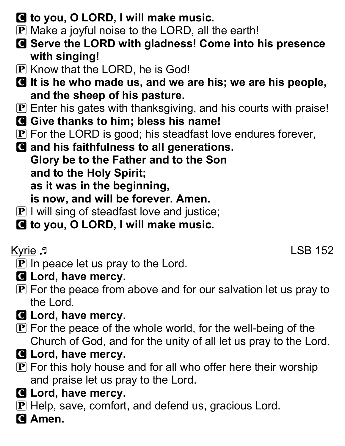- C to you, O LORD, I will make music.
- $\bf{P}$  Make a joyful noise to the LORD, all the earth!
- C Serve the LORD with gladness! Come into his presence with singing!
- P Know that the LORD, he is God!
- C It is he who made us, and we are his; we are his people, and the sheep of his pasture.
- P Enter his gates with thanksgiving, and his courts with praise!
- G Give thanks to him; bless his name!
- $\mathbf P$  For the LORD is good; his steadfast love endures forever,

C and his faithfulness to all generations. Glory be to the Father and to the Son and to the Holy Spirit; as it was in the beginning, is now, and will be forever. Amen.

- $\mathbf{P}$  I will sing of steadfast love and justice;
- C to you, O LORD, I will make music.

Kyrie J

- $\mathbf P$  In peace let us pray to the Lord.
- **G** Lord, have mercy.
- $\mathbf P$  For the peace from above and for our salvation let us pray to the Lord.
- **G** Lord, have mercy.
- $\mathbf P$  For the peace of the whole world, for the well-being of the Church of God, and for the unity of all let us pray to the Lord.
- **G** Lord, have mercy.
- $\mathbf P$  For this holy house and for all who offer here their worship and praise let us pray to the Lord.
- **G** Lord, have mercy.
- P Help, save, comfort, and defend us, gracious Lord.
- **C** Amen.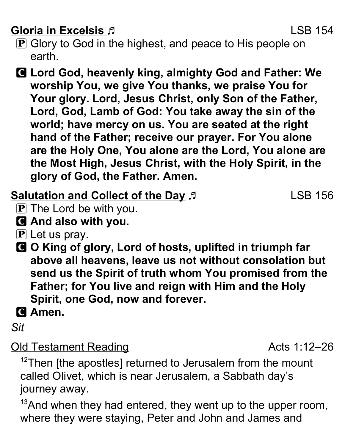## Gloria in Excelsis J. Communication of the USB 154

- **P** Glory to God in the highest, and peace to His people on earth.
- C Lord God, heavenly king, almighty God and Father: We worship You, we give You thanks, we praise You for Your glory. Lord, Jesus Christ, only Son of the Father, Lord, God, Lamb of God: You take away the sin of the world; have mercy on us. You are seated at the right hand of the Father; receive our prayer. For You alone are the Holy One, You alone are the Lord, You alone are the Most High, Jesus Christ, with the Holy Spirit, in the glory of God, the Father. Amen.

## Salutation and Collect of the Day  $\beta$  LSB 156

- $\mathbf{P}$  The Lord be with you.
- C And also with you.
- $\bf{P}$  Let us pray.
- C O King of glory, Lord of hosts, uplifted in triumph far above all heavens, leave us not without consolation but send us the Spirit of truth whom You promised from the Father; for You live and reign with Him and the Holy Spirit, one God, now and forever.
- C Amen.
- Sit

#### Old Testament Reading **Contact Contact Acts** 1:12–26

 $12$ Then [the apostles] returned to Jerusalem from the mount called Olivet, which is near Jerusalem, a Sabbath day's journey away.

 $13$ And when they had entered, they went up to the upper room, where they were staying, Peter and John and James and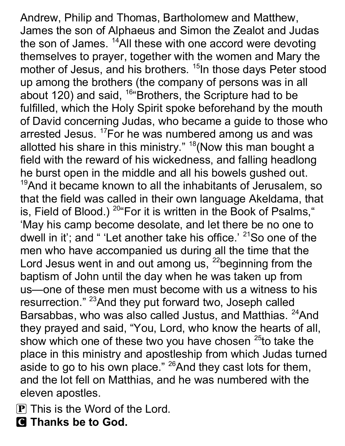Andrew, Philip and Thomas, Bartholomew and Matthew, James the son of Alphaeus and Simon the Zealot and Judas the son of James. <sup>14</sup>All these with one accord were devoting themselves to prayer, together with the women and Mary the mother of Jesus, and his brothers. <sup>15</sup>In those days Peter stood up among the brothers (the company of persons was in all about 120) and said, <sup>16</sup> Brothers, the Scripture had to be fulfilled, which the Holy Spirit spoke beforehand by the mouth of David concerning Judas, who became a guide to those who arrested Jesus. <sup>17</sup>For he was numbered among us and was allotted his share in this ministry."  $18$ (Now this man bought a field with the reward of his wickedness, and falling headlong he burst open in the middle and all his bowels gushed out.  $19$ And it became known to all the inhabitants of Jerusalem, so that the field was called in their own language Akeldama, that is, Field of Blood.)  $20^\circ$  For it is written in the Book of Psalms," 'May his camp become desolate, and let there be no one to dwell in it'; and " 'Let another take his office.' <sup>21</sup>So one of the men who have accompanied us during all the time that the Lord Jesus went in and out among us,  $22$  beginning from the baptism of John until the day when he was taken up from us—one of these men must become with us a witness to his resurrection." <sup>23</sup>And they put forward two, Joseph called Barsabbas, who was also called Justus, and Matthias. <sup>24</sup>And they prayed and said, "You, Lord, who know the hearts of all, show which one of these two you have chosen  $25$  to take the place in this ministry and apostleship from which Judas turned aside to go to his own place."  $^{26}$ And they cast lots for them, and the lot fell on Matthias, and he was numbered with the eleven apostles.

P This is the Word of the Lord.

**Q** Thanks be to God.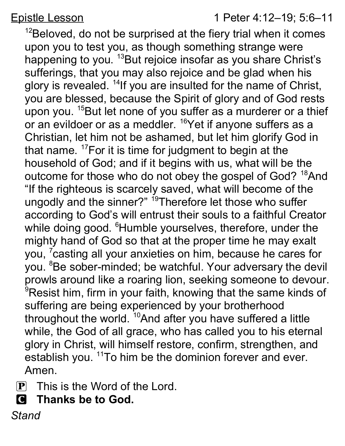Epistle Lesson 1 Peter 4:12–19; 5:6–11

 $12B$ eloved, do not be surprised at the fiery trial when it comes upon you to test you, as though something strange were happening to you. <sup>13</sup>But rejoice insofar as you share Christ's sufferings, that you may also rejoice and be glad when his glory is revealed. <sup>14</sup>If you are insulted for the name of Christ, you are blessed, because the Spirit of glory and of God rests upon you. <sup>15</sup>But let none of you suffer as a murderer or a thief or an evildoer or as a meddler. <sup>16</sup>Yet if anyone suffers as a Christian, let him not be ashamed, but let him glorify God in that name.  $17$  For it is time for judgment to begin at the household of God; and if it begins with us, what will be the outcome for those who do not obey the gospel of God? <sup>18</sup>And "If the righteous is scarcely saved, what will become of the ungodly and the sinner?" <sup>19</sup>Therefore let those who suffer according to God's will entrust their souls to a faithful Creator while doing good. <sup>6</sup>Humble yourselves, therefore, under the mighty hand of God so that at the proper time he may exalt you, <sup>7</sup> casting all your anxieties on him, because he cares for you. <sup>8</sup>Be sober-minded; be watchful. Your adversary the devil prowls around like a roaring lion, seeking someone to devour. <sup>9</sup>Resist him, firm in your faith, knowing that the same kinds of suffering are being experienced by your brotherhood throughout the world. <sup>10</sup>And after you have suffered a little while, the God of all grace, who has called you to his eternal glory in Christ, will himself restore, confirm, strengthen, and establish you. <sup>11</sup>To him be the dominion forever and ever. Amen.

- $\left| \mathbf{P} \right|$  This is the Word of the Lord.
- C Thanks be to God.

**Stand**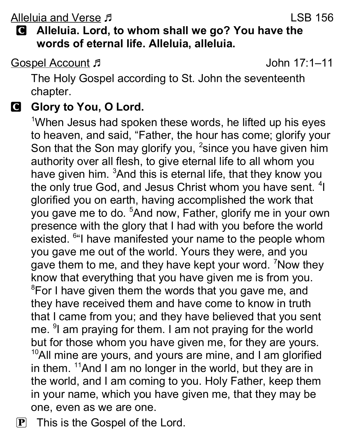Alleluia and Verse J. New York 1988 156

### C Alleluia. Lord, to whom shall we go? You have the words of eternal life. Alleluia, alleluia.

Gospel Account John 17:1–11

The Holy Gospel according to St. John the seventeenth chapter.

#### G Glory to You, O Lord.

<sup>1</sup>When Jesus had spoken these words, he lifted up his eyes to heaven, and said, "Father, the hour has come; glorify your Son that the Son may glorify you, <sup>2</sup> since you have given him authority over all flesh, to give eternal life to all whom you have given him. <sup>3</sup>And this is eternal life, that they know you the only true God, and Jesus Christ whom you have sent. <sup>4</sup>I glorified you on earth, having accomplished the work that you gave me to do. <sup>5</sup>And now, Father, glorify me in your own presence with the glory that I had with you before the world existed. <sup>6</sup> I have manifested your name to the people whom you gave me out of the world. Yours they were, and you gave them to me, and they have kept your word. <sup>7</sup>Now they know that everything that you have given me is from you. <sup>8</sup>For I have given them the words that you gave me, and they have received them and have come to know in truth that I came from you; and they have believed that you sent me. <sup>9</sup> am praying for them. I am not praying for the world but for those whom you have given me, for they are yours.  $10$ All mine are yours, and yours are mine, and I am glorified in them.  $11$ And I am no longer in the world, but they are in the world, and I am coming to you. Holy Father, keep them in your name, which you have given me, that they may be one, even as we are one.

P This is the Gospel of the Lord.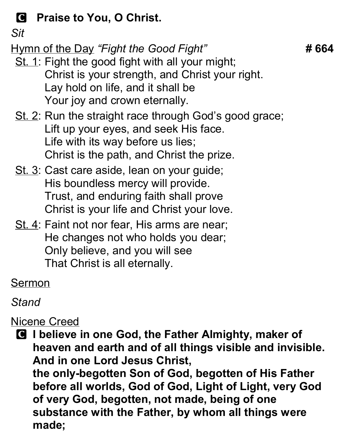# **C** Praise to You, O Christ.

Sit

Hymn of the Day "Fight the Good Fight" # 664

- St. 1: Fight the good fight with all your might; Christ is your strength, and Christ your right. Lay hold on life, and it shall be Your joy and crown eternally.
- St. 2: Run the straight race through God's good grace; Lift up your eyes, and seek His face. Life with its way before us lies; Christ is the path, and Christ the prize.
- St. 3: Cast care aside, lean on your guide; His boundless mercy will provide. Trust, and enduring faith shall prove Christ is your life and Christ your love.
- St. 4: Faint not nor fear, His arms are near; He changes not who holds you dear; Only believe, and you will see That Christ is all eternally.

Sermon

Stand

Nicene Creed

C I believe in one God, the Father Almighty, maker of heaven and earth and of all things visible and invisible. And in one Lord Jesus Christ, the only-begotten Son of God, begotten of His Father before all worlds, God of God, Light of Light, very God of very God, begotten, not made, being of one substance with the Father, by whom all things were made;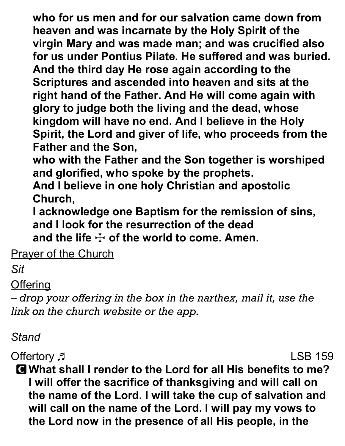who for us men and for our salvation came down from heaven and was incarnate by the Holy Spirit of the virgin Mary and was made man; and was crucified also for us under Pontius Pilate. He suffered and was buried. And the third day He rose again according to the Scriptures and ascended into heaven and sits at the right hand of the Father. And He will come again with glory to judge both the living and the dead, whose kingdom will have no end. And I believe in the Holy Spirit, the Lord and giver of life, who proceeds from the Father and the Son,

who with the Father and the Son together is worshiped and glorified, who spoke by the prophets.

And I believe in one holy Christian and apostolic Church,

I acknowledge one Baptism for the remission of sins, and I look for the resurrection of the dead and the life  $\pm$  of the world to come. Amen.

**Prayer of the Church** 

Sit

#### **Offering**

– drop your offering in the box in the narthex, mail it, use the link on the church website or the app.

### Stand

Offertory Fig. 2015 159

C What shall I render to the Lord for all His benefits to me? I will offer the sacrifice of thanksgiving and will call on the name of the Lord. I will take the cup of salvation and will call on the name of the Lord. I will pay my vows to the Lord now in the presence of all His people, in the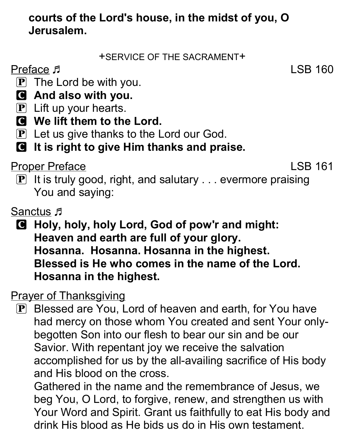### courts of the Lord's house, in the midst of you, O Jerusalem.

+SERVICE OF THE SACRAMENT+

Preface  $\sqrt{5}$  LSB 160

- $\mathbf{P}$  The Lord be with you.
- C And also with you.
- $\mathbf{P}$  Lift up your hearts.
- C We lift them to the Lord.
- **P** Let us give thanks to the Lord our God.

# **C** It is right to give Him thanks and praise.

Proper Preface LSB 161

 $\mathbf{P}$  It is truly good, right, and salutary  $\ldots$  evermore praising You and saying:

Sanctus F

C Holy, holy, holy Lord, God of pow'r and might: Heaven and earth are full of your glory. Hosanna. Hosanna. Hosanna in the highest. Blessed is He who comes in the name of the Lord. Hosanna in the highest.

Prayer of Thanksgiving

P Blessed are You, Lord of heaven and earth, for You have had mercy on those whom You created and sent Your onlybegotten Son into our flesh to bear our sin and be our Savior. With repentant joy we receive the salvation accomplished for us by the all-availing sacrifice of His body and His blood on the cross.

Gathered in the name and the remembrance of Jesus, we beg You, O Lord, to forgive, renew, and strengthen us with Your Word and Spirit. Grant us faithfully to eat His body and drink His blood as He bids us do in His own testament.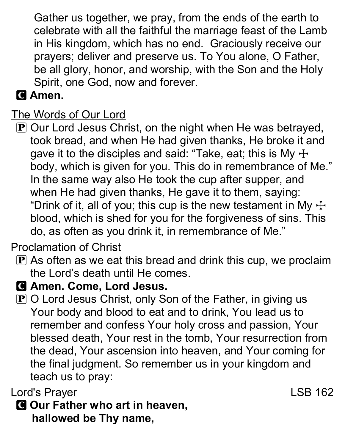Gather us together, we pray, from the ends of the earth to celebrate with all the faithful the marriage feast of the Lamb in His kingdom, which has no end. Graciously receive our prayers; deliver and preserve us. To You alone, O Father, be all glory, honor, and worship, with the Son and the Holy Spirit, one God, now and forever.

# **C** Amen.

# The Words of Our Lord

P Our Lord Jesus Christ, on the night when He was betrayed, took bread, and when He had given thanks, He broke it and gave it to the disciples and said: "Take, eat; this is My  $\pm$ body, which is given for you. This do in remembrance of Me." In the same way also He took the cup after supper, and when He had given thanks, He gave it to them, saying: "Drink of it, all of you; this cup is the new testament in My  $\pm$ blood, which is shed for you for the forgiveness of sins. This do, as often as you drink it, in remembrance of Me."

## Proclamation of Christ

- $\bf{P}$  As often as we eat this bread and drink this cup, we proclaim the Lord's death until He comes.
- C Amen. Come, Lord Jesus.
- $\mathbf P$  O Lord Jesus Christ, only Son of the Father, in giving us Your body and blood to eat and to drink, You lead us to remember and confess Your holy cross and passion, Your blessed death, Your rest in the tomb, Your resurrection from the dead, Your ascension into heaven, and Your coming for the final judgment. So remember us in your kingdom and teach us to pray:

### Lord's Prayer **Lord's Prayer LSB 162**

**G** Our Father who art in heaven, hallowed be Thy name,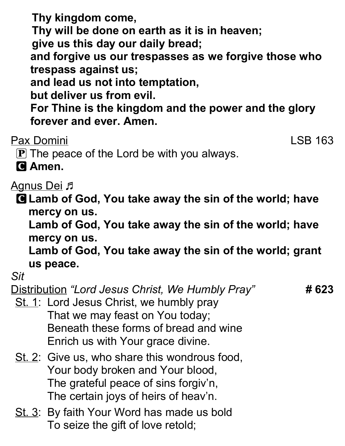Thy kingdom come, Thy will be done on earth as it is in heaven; give us this day our daily bread; and forgive us our trespasses as we forgive those who trespass against us; and lead us not into temptation, but deliver us from evil. For Thine is the kingdom and the power and the glory forever and ever. Amen.

Pax Domini LSB 163

 $\mathbf P$  The peace of the Lord be with you always.

**C** Amen.

<u>Agnus Dei</u> 月

**G** Lamb of God, You take away the sin of the world; have mercy on us.

Lamb of God, You take away the sin of the world; have mercy on us.

Lamb of God, You take away the sin of the world; grant us peace.

Sit

Distribution "Lord Jesus Christ, We Humbly Pray" # 623

- St. 1: Lord Jesus Christ, we humbly pray That we may feast on You today; Beneath these forms of bread and wine Enrich us with Your grace divine.
- St. 2: Give us, who share this wondrous food, Your body broken and Your blood, The grateful peace of sins forgiv'n, The certain joys of heirs of heav'n.
- St. 3: By faith Your Word has made us bold To seize the gift of love retold;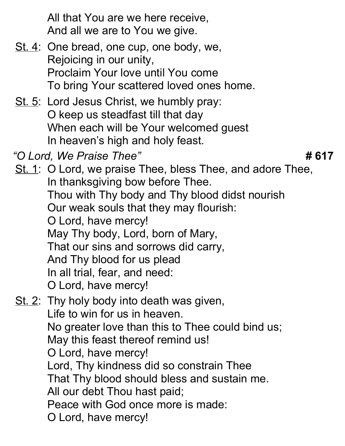All that You are we here receive, And all we are to You we give.

- St. 4: One bread, one cup, one body, we, Rejoicing in our unity, Proclaim Your love until You come To bring Your scattered loved ones home.
- St. 5: Lord Jesus Christ, we humbly pray: O keep us steadfast till that day When each will be Your welcomed guest In heaven's high and holy feast.
- "O Lord, We Praise Thee"  $\#617$

St. 1: O Lord, we praise Thee, bless Thee, and adore Thee, In thanksgiving bow before Thee. Thou with Thy body and Thy blood didst nourish Our weak souls that they may flourish: O Lord, have mercy! May Thy body, Lord, born of Mary, That our sins and sorrows did carry, And Thy blood for us plead In all trial, fear, and need: O Lord, have mercy! St. 2: Thy holy body into death was given,

## Life to win for us in heaven. No greater love than this to Thee could bind us; May this feast thereof remind us! O Lord, have mercy! Lord, Thy kindness did so constrain Thee That Thy blood should bless and sustain me. All our debt Thou hast paid; Peace with God once more is made: O Lord, have mercy!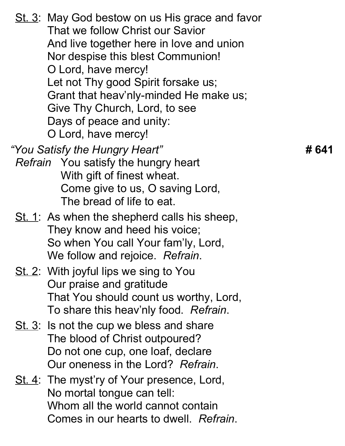St. 3: May God bestow on us His grace and favor That we follow Christ our Savior And live together here in love and union Nor despise this blest Communion! O Lord, have mercy! Let not Thy good Spirit forsake us; Grant that heav'nly-minded He make us; Give Thy Church, Lord, to see Days of peace and unity: O Lord, have mercy! "You Satisfy the Hungry Heart" **Analytic State of the 41** S41 Refrain You satisfy the hungry heart With gift of finest wheat. Come give to us, O saving Lord, The bread of life to eat. St. 1: As when the shepherd calls his sheep, They know and heed his voice; So when You call Your fam'ly, Lord, We follow and rejoice. Refrain. St. 2: With joyful lips we sing to You Our praise and gratitude That You should count us worthy, Lord, To share this heav'nly food. Refrain. St. 3: Is not the cup we bless and share The blood of Christ outpoured? Do not one cup, one loaf, declare Our oneness in the Lord? Refrain. St. 4: The myst'ry of Your presence, Lord, No mortal tongue can tell: Whom all the world cannot contain Comes in our hearts to dwell. Refrain.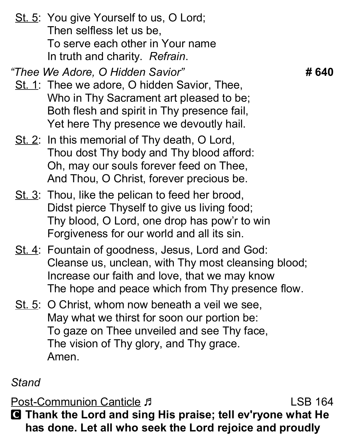St. 5: You give Yourself to us, O Lord; Then selfless let us be, To serve each other in Your name In truth and charity. Refrain.

"Thee We Adore, O Hidden Savior" # 640

- St. 1: Thee we adore, O hidden Savior, Thee, Who in Thy Sacrament art pleased to be; Both flesh and spirit in Thy presence fail, Yet here Thy presence we devoutly hail.
- St. 2: In this memorial of Thy death, O Lord, Thou dost Thy body and Thy blood afford: Oh, may our souls forever feed on Thee, And Thou, O Christ, forever precious be.
- St. 3: Thou, like the pelican to feed her brood, Didst pierce Thyself to give us living food; Thy blood, O Lord, one drop has pow'r to win Forgiveness for our world and all its sin.
- St. 4: Fountain of goodness, Jesus, Lord and God: Cleanse us, unclean, with Thy most cleansing blood; Increase our faith and love, that we may know The hope and peace which from Thy presence flow.
- St. 5: O Christ, whom now beneath a veil we see, May what we thirst for soon our portion be: To gaze on Thee unveiled and see Thy face, The vision of Thy glory, and Thy grace. Amen.

### **Stand**

Post-Communion Canticle J **Example 18 and Communion** Canticle J C Thank the Lord and sing His praise; tell ev'ryone what He has done. Let all who seek the Lord rejoice and proudly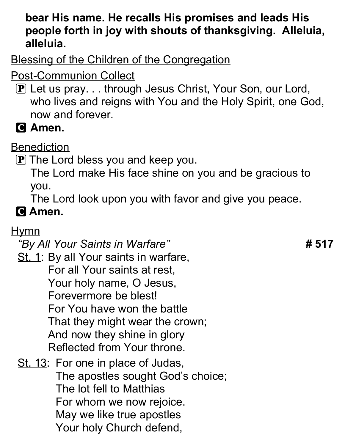#### bear His name. He recalls His promises and leads His people forth in joy with shouts of thanksgiving. Alleluia, alleluia.

Blessing of the Children of the Congregation

- Post-Communion Collect
	- P Let us pray. . . through Jesus Christ, Your Son, our Lord, who lives and reigns with You and the Holy Spirit, one God, now and forever.
	- **C** Amen.

## **Benediction**

P The Lord bless you and keep you.

The Lord make His face shine on you and be gracious to you.

The Lord look upon you with favor and give you peace.

# **C** Amen.

## **Hymn**

"By All Your Saints in Warfare" **# 517** 

- St. 1: By all Your saints in warfare, For all Your saints at rest, Your holy name, O Jesus, Forevermore be blest! For You have won the battle That they might wear the crown; And now they shine in glory Reflected from Your throne.
- St. 13: For one in place of Judas, The apostles sought God's choice; The lot fell to Matthias For whom we now rejoice. May we like true apostles Your holy Church defend,